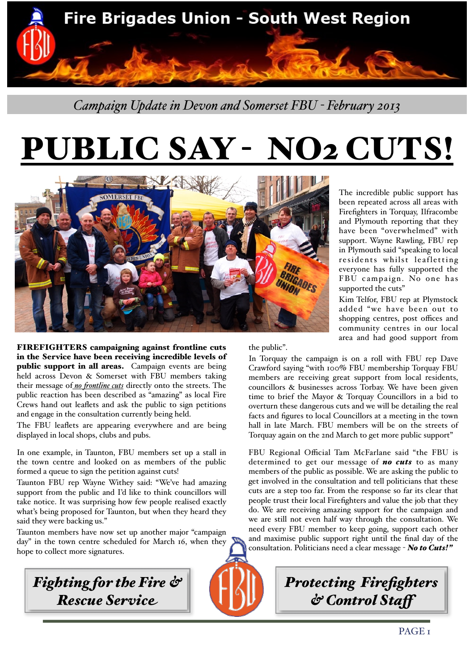

*Campaign Update in Devon and Somerset FBU - February 2013*

## UBLIC SAY - NO2 CUTS!



FIREFIGHTERS campaigning against frontline cuts in the Service have been receiving incredible levels of public support in all areas. Campaign events are being held across Devon & Somerset with FBU members taking their message of *no frontline cuts* directly onto the streets. The public reaction has been described as "amazing" as local Fire Crews hand out leaflets and ask the public to sign petitions and engage in the consultation currently being held.

The FBU leaflets are appearing everywhere and are being displayed in local shops, clubs and pubs.

In one example, in Taunton, FBU members set up a stall in the town centre and looked on as members of the public formed a queue to sign the petition against cuts!

Taunton FBU rep Wayne Withey said: "We've had amazing support from the public and I'd like to think councillors will take notice. It was surprising how few people realised exactly what's being proposed for Taunton, but when they heard they said they were backing us."

Taunton members have now set up another major "campaign day" in the town centre scheduled for March 16, when they hope to collect more signatures.



the public".

The incredible public support has been repeated across all areas with Firefighters in Torquay, Ilfracombe and Plymouth reporting that they have been "overwhelmed" with support. Wayne Rawling, FBU rep in Plymouth said "speaking to local residents whilst leafletting everyone has fully supported the FBU campaign. No one has supported the cuts"

Kim Telfor, FBU rep at Plymstock added "we have been out to shopping centres, post offices and community centres in our local area and had good support from

In Torquay the campaign is on a roll with FBU rep Dave Crawford saying "with 100% FBU membership Torquay FBU members are receiving great support from local residents, councillors & businesses across Torbay. We have been given time to brief the Mayor & Torquay Councillors in a bid to overturn these dangerous cuts and we will be detailing the real facts and figures to local Councillors at a meeting in the town hall in late March. FBU members will be on the streets of Torquay again on the 2nd March to get more public support"

FBU Regional Official Tam McFarlane said "the FBU is determined to get our message of *no cuts* to as many members of the public as possible. We are asking the public to get involved in the consultation and tell politicians that these cuts are a step too far. From the response so far its clear that people trust their local Firefighters and value the job that they do. We are receiving amazing support for the campaign and we are still not even half way through the consultation. We need every FBU member to keep going, support each other and maximise public support right until the final day of the consultation. Politicians need a clear message - *No to Cuts!"* 

*Protecting Firefighters* 

*& Control Staf*



PAGE<sub>I</sub>